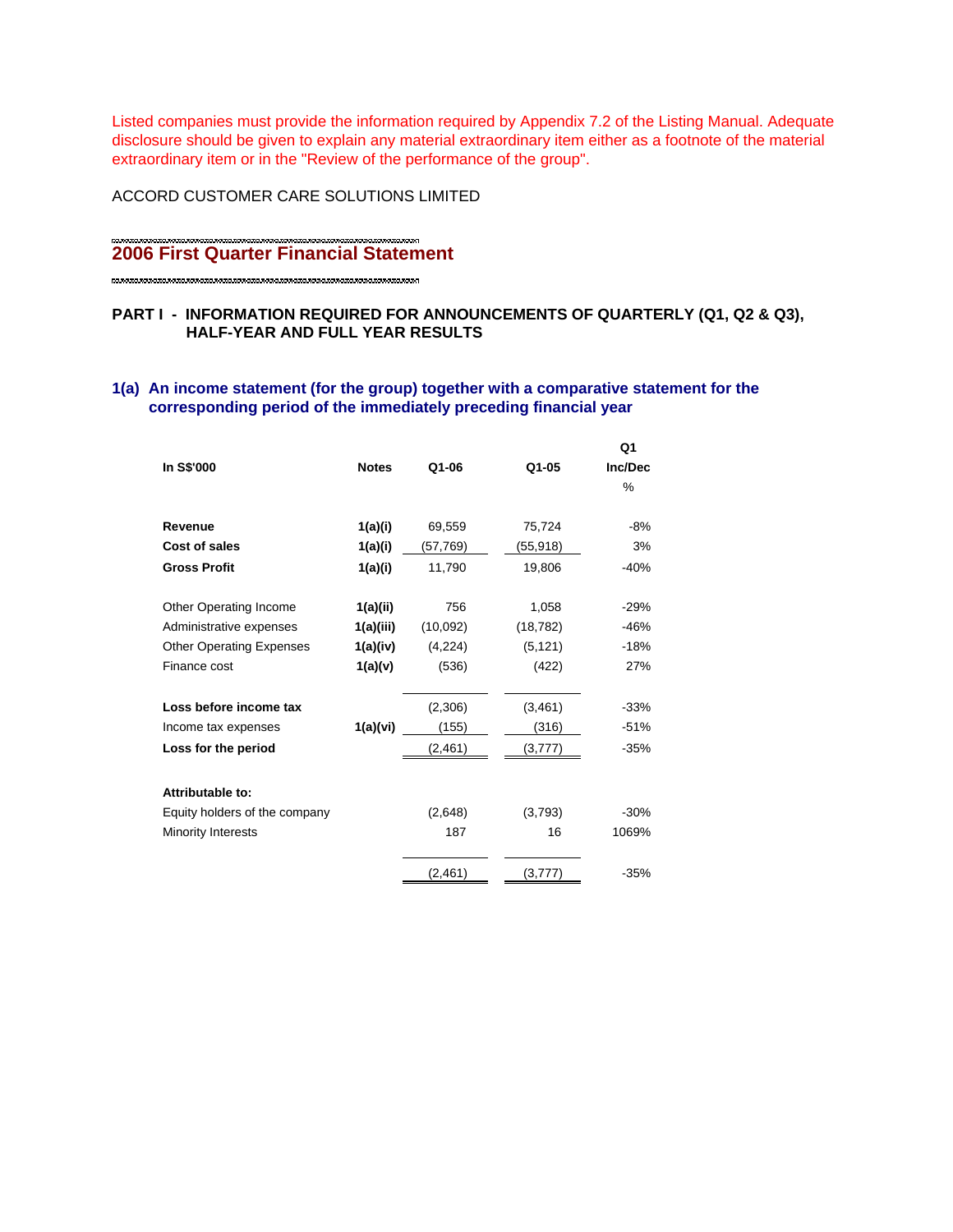Listed companies must provide the information required by Appendix 7.2 of the Listing Manual. Adequate disclosure should be given to explain any material extraordinary item either as a footnote of the material extraordinary item or in the "Review of the performance of the group".

ACCORD CUSTOMER CARE SOLUTIONS LIMITED

# **2006 First Quarter Financial Statement**

# **PART I - INFORMATION REQUIRED FOR ANNOUNCEMENTS OF QUARTERLY (Q1, Q2 & Q3), HALF-YEAR AND FULL YEAR RESULTS**

# **1(a) An income statement (for the group) together with a comparative statement for the corresponding period of the immediately preceding financial year**

|              |                                 |                                              | Q1                                                      |
|--------------|---------------------------------|----------------------------------------------|---------------------------------------------------------|
| <b>Notes</b> | Q1-06                           | Q1-05                                        | Inc/Dec                                                 |
|              |                                 |                                              | %                                                       |
|              |                                 |                                              |                                                         |
|              |                                 |                                              | $-8%$                                                   |
| 1(a)(i)      | (57,769)                        | (55,918)                                     | 3%                                                      |
| 1(a)(i)      | 11,790                          | 19,806                                       | $-40%$                                                  |
|              | 756                             | 1,058                                        | $-29%$                                                  |
| 1(a)(iii)    | (10,092)                        | (18, 782)                                    | $-46%$                                                  |
| 1(a)(iv)     | (4,224)                         | (5, 121)                                     | $-18%$                                                  |
| 1(a)(v)      | (536)                           | (422)                                        | 27%                                                     |
|              |                                 |                                              | $-33%$                                                  |
|              |                                 |                                              | $-51%$                                                  |
|              | (2, 461)                        | (3,777)                                      | $-35%$                                                  |
|              |                                 |                                              |                                                         |
|              |                                 |                                              |                                                         |
|              |                                 |                                              | $-30%$                                                  |
|              |                                 |                                              | 1069%                                                   |
|              | (2, 461)                        |                                              | $-35%$                                                  |
|              | 1(a)(i)<br>1(a)(ii)<br>1(a)(vi) | 69,559<br>(2,306)<br>(155)<br>(2,648)<br>187 | 75,724<br>(3, 461)<br>(316)<br>(3,793)<br>16<br>(3,777) |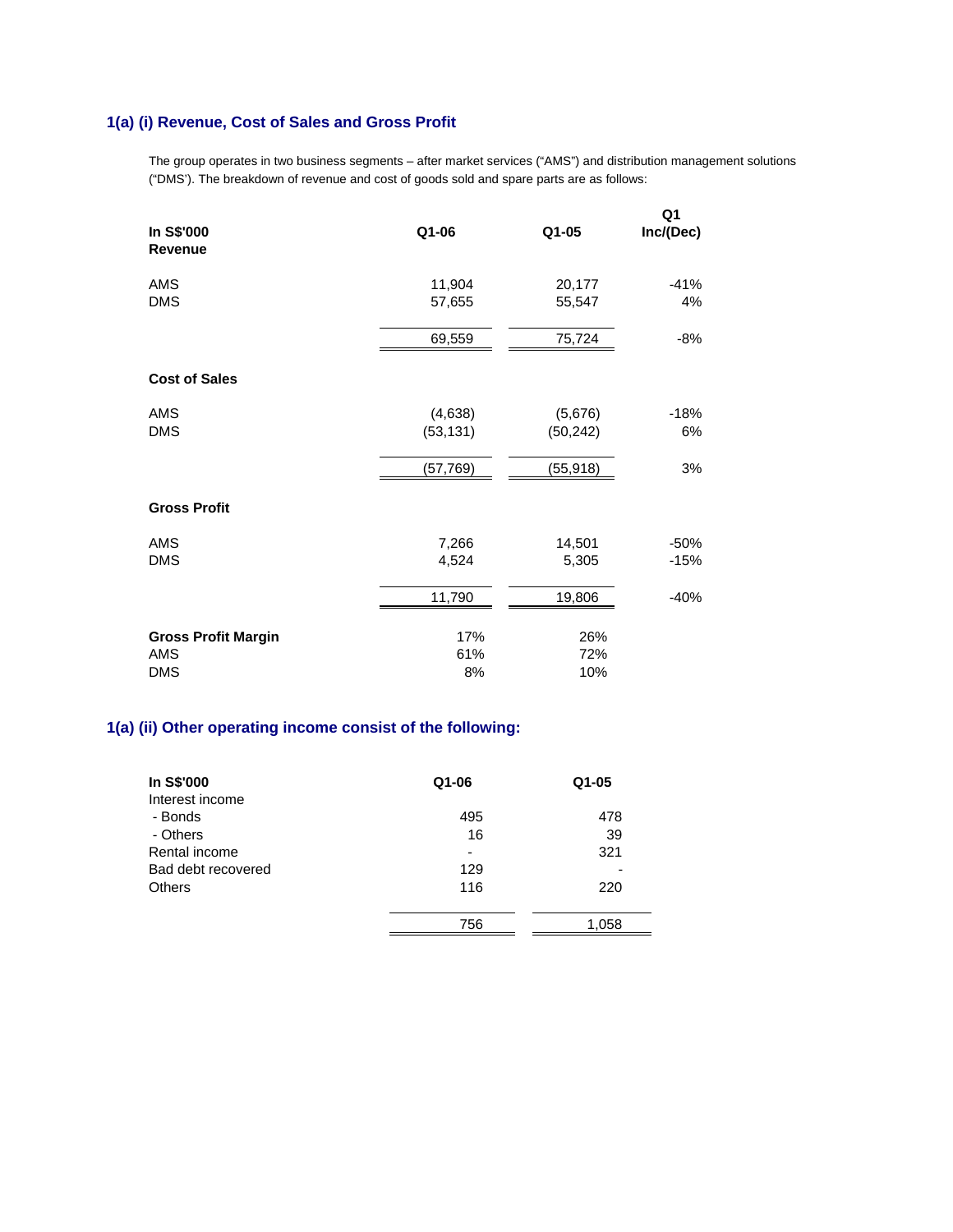# **1(a) (i) Revenue, Cost of Sales and Gross Profit**

The group operates in two business segments – after market services ("AMS") and distribution management solutions ("DMS'). The breakdown of revenue and cost of goods sold and spare parts are as follows:

| In S\$'000<br><b>Revenue</b>                    | Q1-06                | Q1-05                | Q1<br>Inc/(Dec)  |
|-------------------------------------------------|----------------------|----------------------|------------------|
| AMS<br><b>DMS</b>                               | 11,904<br>57,655     | 20,177<br>55,547     | $-41%$<br>4%     |
|                                                 | 69,559               | 75,724               | $-8%$            |
| <b>Cost of Sales</b>                            |                      |                      |                  |
| AMS<br><b>DMS</b>                               | (4,638)<br>(53, 131) | (5,676)<br>(50, 242) | $-18%$<br>6%     |
|                                                 | (57, 769)            | (55, 918)            | 3%               |
| <b>Gross Profit</b>                             |                      |                      |                  |
| AMS<br><b>DMS</b>                               | 7,266<br>4,524       | 14,501<br>5,305      | $-50%$<br>$-15%$ |
|                                                 | 11,790               | 19,806               | $-40%$           |
| <b>Gross Profit Margin</b><br>AMS<br><b>DMS</b> | 17%<br>61%<br>8%     | 26%<br>72%<br>10%    |                  |

# **1(a) (ii) Other operating income consist of the following:**

| In S\$'000         | Q1-06 | $Q1 - 05$ |
|--------------------|-------|-----------|
| Interest income    |       |           |
| - Bonds            | 495   | 478       |
| - Others           | 16    | 39        |
| Rental income      |       | 321       |
| Bad debt recovered | 129   |           |
| Others             | 116   | 220       |
|                    |       |           |
|                    | 756   | 1.058     |
|                    |       |           |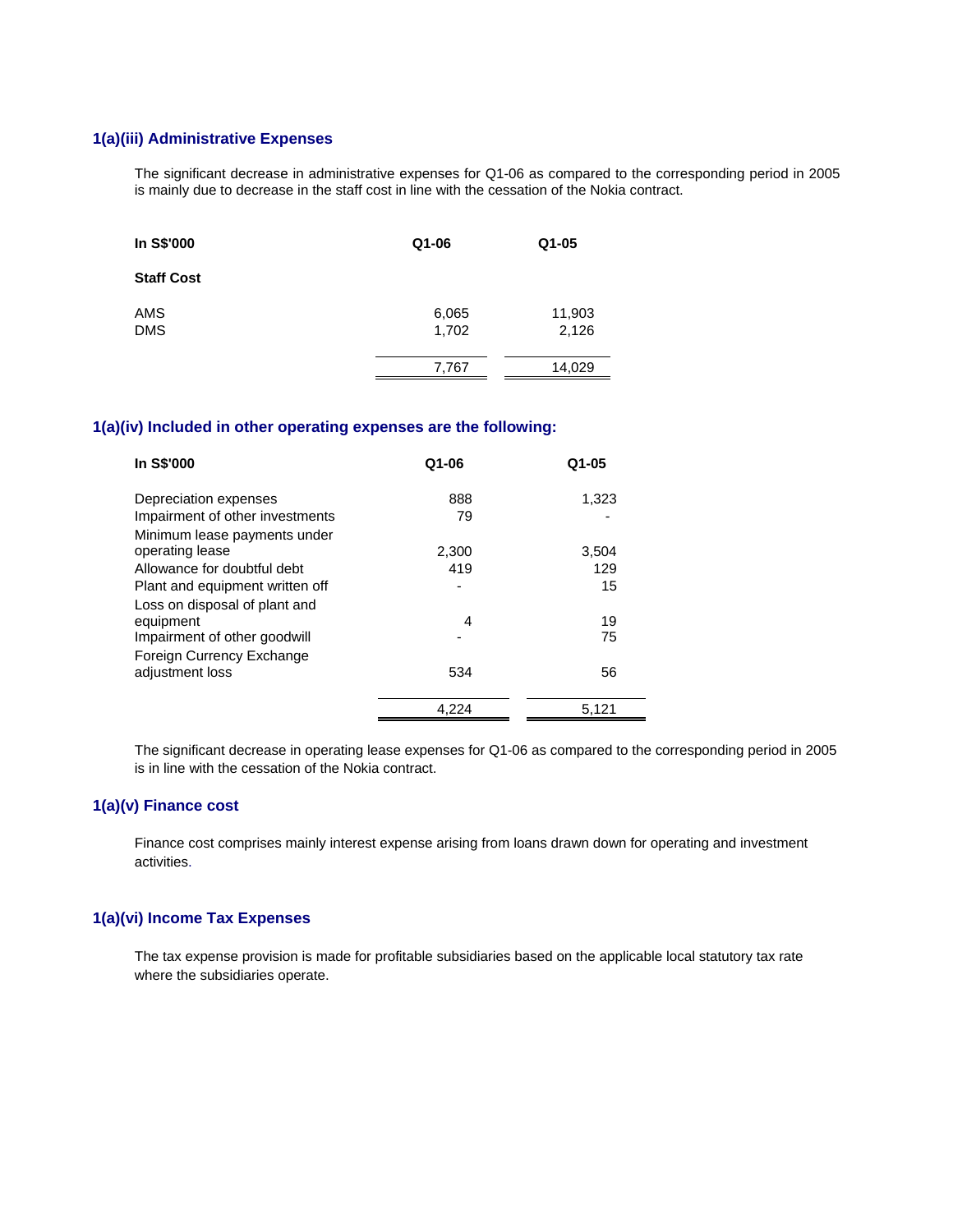## **1(a)(iii) Administrative Expenses**

The significant decrease in administrative expenses for Q1-06 as compared to the corresponding period in 2005 is mainly due to decrease in the staff cost in line with the cessation of the Nokia contract.

| In S\$'000        | Q1-06          | $Q1 - 05$       |
|-------------------|----------------|-----------------|
| <b>Staff Cost</b> |                |                 |
| AMS<br><b>DMS</b> | 6,065<br>1,702 | 11,903<br>2,126 |
|                   | 7,767          | 14,029          |

#### **1(a)(iv) Included in other operating expenses are the following:**

| In S\$'000                      | $Q1 - 06$ | $Q1 - 05$ |
|---------------------------------|-----------|-----------|
| Depreciation expenses           | 888       | 1,323     |
| Impairment of other investments | 79        |           |
| Minimum lease payments under    |           |           |
| operating lease                 | 2,300     | 3,504     |
| Allowance for doubtful debt     | 419       | 129       |
| Plant and equipment written off |           | 15        |
| Loss on disposal of plant and   |           |           |
| equipment                       | 4         | 19        |
| Impairment of other goodwill    |           | 75        |
| Foreign Currency Exchange       |           |           |
| adjustment loss                 | 534       | 56        |
|                                 | 4,224     | 5,121     |

The significant decrease in operating lease expenses for Q1-06 as compared to the corresponding period in 2005 is in line with the cessation of the Nokia contract.

# **1(a)(v) Finance cost**

Finance cost comprises mainly interest expense arising from loans drawn down for operating and investment activities.

# **1(a)(vi) Income Tax Expenses**

The tax expense provision is made for profitable subsidiaries based on the applicable local statutory tax rate where the subsidiaries operate.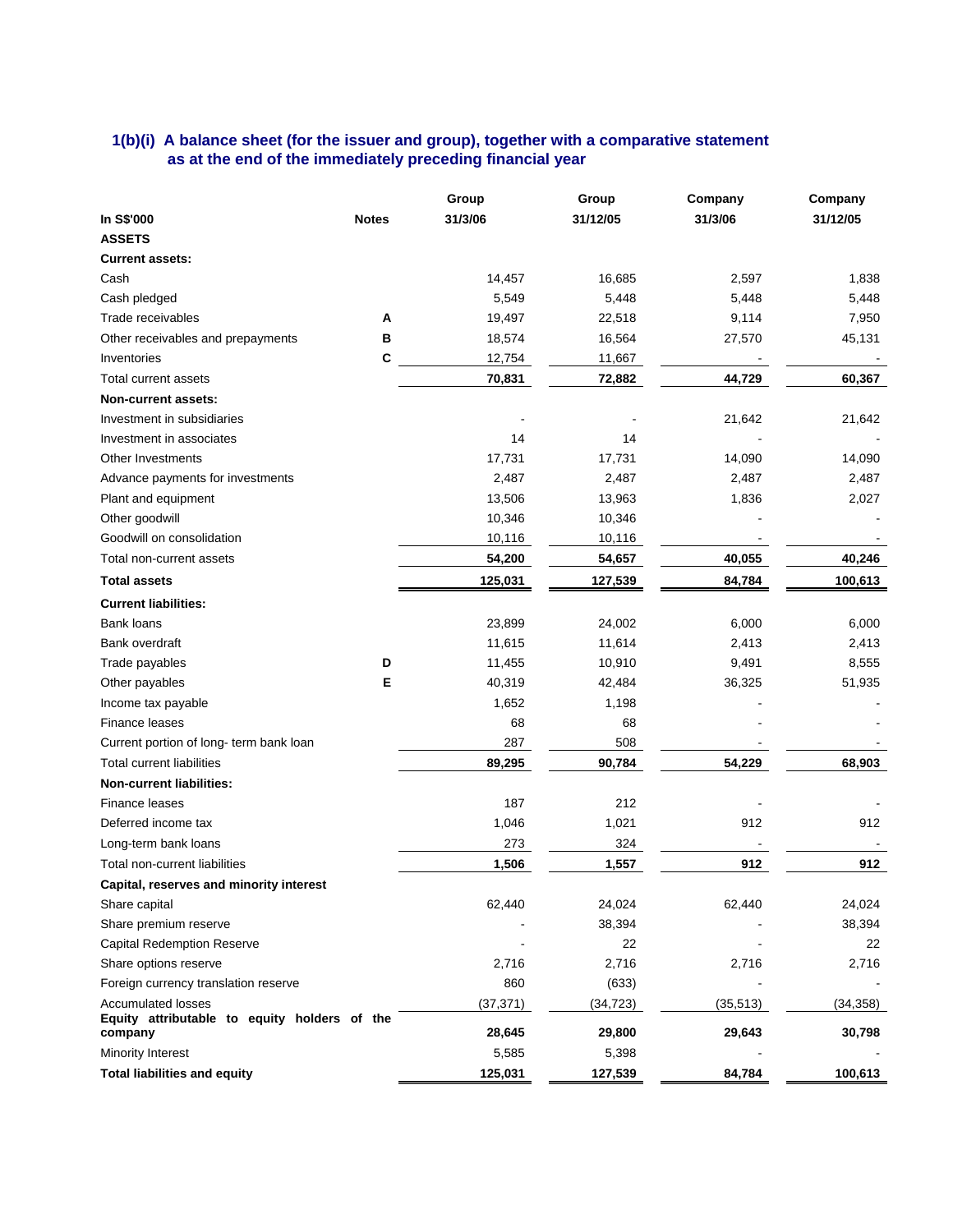# **1(b)(i) A balance sheet (for the issuer and group), together with a comparative statement as at the end of the immediately preceding financial year**

| In S\$'000<br>31/3/06<br>31/3/06<br>31/12/05<br>31/12/05<br><b>Notes</b><br><b>ASSETS</b><br><b>Current assets:</b><br>14,457<br>16,685<br>2,597<br>1,838<br>Cash<br>Cash pledged<br>5,549<br>5,448<br>5,448<br>5,448<br>Α<br>7,950<br>Trade receivables<br>19,497<br>22,518<br>9,114<br>в<br>Other receivables and prepayments<br>18,574<br>16,564<br>27,570<br>45,131<br>C<br>12,754<br>Inventories<br>11,667<br>44,729<br>70,831<br>72,882<br>60,367<br>Total current assets<br>Non-current assets:<br>Investment in subsidiaries<br>21,642<br>21,642<br>14<br>14<br>Investment in associates |
|--------------------------------------------------------------------------------------------------------------------------------------------------------------------------------------------------------------------------------------------------------------------------------------------------------------------------------------------------------------------------------------------------------------------------------------------------------------------------------------------------------------------------------------------------------------------------------------------------|
|                                                                                                                                                                                                                                                                                                                                                                                                                                                                                                                                                                                                  |
|                                                                                                                                                                                                                                                                                                                                                                                                                                                                                                                                                                                                  |
|                                                                                                                                                                                                                                                                                                                                                                                                                                                                                                                                                                                                  |
|                                                                                                                                                                                                                                                                                                                                                                                                                                                                                                                                                                                                  |
|                                                                                                                                                                                                                                                                                                                                                                                                                                                                                                                                                                                                  |
|                                                                                                                                                                                                                                                                                                                                                                                                                                                                                                                                                                                                  |
|                                                                                                                                                                                                                                                                                                                                                                                                                                                                                                                                                                                                  |
|                                                                                                                                                                                                                                                                                                                                                                                                                                                                                                                                                                                                  |
|                                                                                                                                                                                                                                                                                                                                                                                                                                                                                                                                                                                                  |
|                                                                                                                                                                                                                                                                                                                                                                                                                                                                                                                                                                                                  |
|                                                                                                                                                                                                                                                                                                                                                                                                                                                                                                                                                                                                  |
|                                                                                                                                                                                                                                                                                                                                                                                                                                                                                                                                                                                                  |
| 17,731<br>Other Investments<br>17,731<br>14,090<br>14,090                                                                                                                                                                                                                                                                                                                                                                                                                                                                                                                                        |
| 2,487<br>2,487<br>2,487<br>Advance payments for investments<br>2,487                                                                                                                                                                                                                                                                                                                                                                                                                                                                                                                             |
| 13,506<br>13,963<br>1,836<br>2,027<br>Plant and equipment                                                                                                                                                                                                                                                                                                                                                                                                                                                                                                                                        |
| Other goodwill<br>10,346<br>10,346                                                                                                                                                                                                                                                                                                                                                                                                                                                                                                                                                               |
| Goodwill on consolidation<br>10,116<br>10,116                                                                                                                                                                                                                                                                                                                                                                                                                                                                                                                                                    |
| 54,200<br>54,657<br>40,055<br>40,246<br>Total non-current assets                                                                                                                                                                                                                                                                                                                                                                                                                                                                                                                                 |
| 125,031<br>84,784<br>100,613<br><b>Total assets</b><br>127,539                                                                                                                                                                                                                                                                                                                                                                                                                                                                                                                                   |
| <b>Current liabilities:</b>                                                                                                                                                                                                                                                                                                                                                                                                                                                                                                                                                                      |
| <b>Bank loans</b><br>23,899<br>24,002<br>6,000<br>6,000                                                                                                                                                                                                                                                                                                                                                                                                                                                                                                                                          |
| 11,614<br>11,615<br>2,413<br>2,413<br>Bank overdraft                                                                                                                                                                                                                                                                                                                                                                                                                                                                                                                                             |
| D<br>11,455<br>10,910<br>9,491<br>8,555<br>Trade payables                                                                                                                                                                                                                                                                                                                                                                                                                                                                                                                                        |
| Е<br>40,319<br>51,935<br>Other payables<br>42,484<br>36,325                                                                                                                                                                                                                                                                                                                                                                                                                                                                                                                                      |
| 1,652<br>1,198<br>Income tax payable                                                                                                                                                                                                                                                                                                                                                                                                                                                                                                                                                             |
| Finance leases<br>68<br>68                                                                                                                                                                                                                                                                                                                                                                                                                                                                                                                                                                       |
| 287<br>508<br>Current portion of long- term bank loan                                                                                                                                                                                                                                                                                                                                                                                                                                                                                                                                            |
| <b>Total current liabilities</b><br>89,295<br>90,784<br>54,229<br>68,903                                                                                                                                                                                                                                                                                                                                                                                                                                                                                                                         |
| <b>Non-current liabilities:</b>                                                                                                                                                                                                                                                                                                                                                                                                                                                                                                                                                                  |
| 187<br>212<br>Finance leases                                                                                                                                                                                                                                                                                                                                                                                                                                                                                                                                                                     |
| 1,021<br>912<br>912<br>Deferred income tax<br>1,046                                                                                                                                                                                                                                                                                                                                                                                                                                                                                                                                              |
| 273<br>324<br>Long-term bank loans                                                                                                                                                                                                                                                                                                                                                                                                                                                                                                                                                               |
| Total non-current liabilities<br>1,506<br>1,557<br>912<br>912                                                                                                                                                                                                                                                                                                                                                                                                                                                                                                                                    |
| Capital, reserves and minority interest                                                                                                                                                                                                                                                                                                                                                                                                                                                                                                                                                          |
| 62,440<br>24,024<br>62,440<br>24,024<br>Share capital                                                                                                                                                                                                                                                                                                                                                                                                                                                                                                                                            |
| Share premium reserve<br>38,394<br>38,394                                                                                                                                                                                                                                                                                                                                                                                                                                                                                                                                                        |
| <b>Capital Redemption Reserve</b><br>22<br>22                                                                                                                                                                                                                                                                                                                                                                                                                                                                                                                                                    |
| 2,716<br>2,716<br>Share options reserve<br>2,716<br>2,716                                                                                                                                                                                                                                                                                                                                                                                                                                                                                                                                        |
| 860<br>Foreign currency translation reserve<br>(633)                                                                                                                                                                                                                                                                                                                                                                                                                                                                                                                                             |
| Accumulated losses<br>(37, 371)<br>(34, 358)<br>(34, 723)<br>(35, 513)                                                                                                                                                                                                                                                                                                                                                                                                                                                                                                                           |
| Equity attributable to equity holders of the<br>28,645<br>29,800<br>29,643<br>30,798<br>company                                                                                                                                                                                                                                                                                                                                                                                                                                                                                                  |
| Minority Interest<br>5,585<br>5,398                                                                                                                                                                                                                                                                                                                                                                                                                                                                                                                                                              |
| <b>Total liabilities and equity</b><br>100,613<br>125,031<br>127,539<br>84,784                                                                                                                                                                                                                                                                                                                                                                                                                                                                                                                   |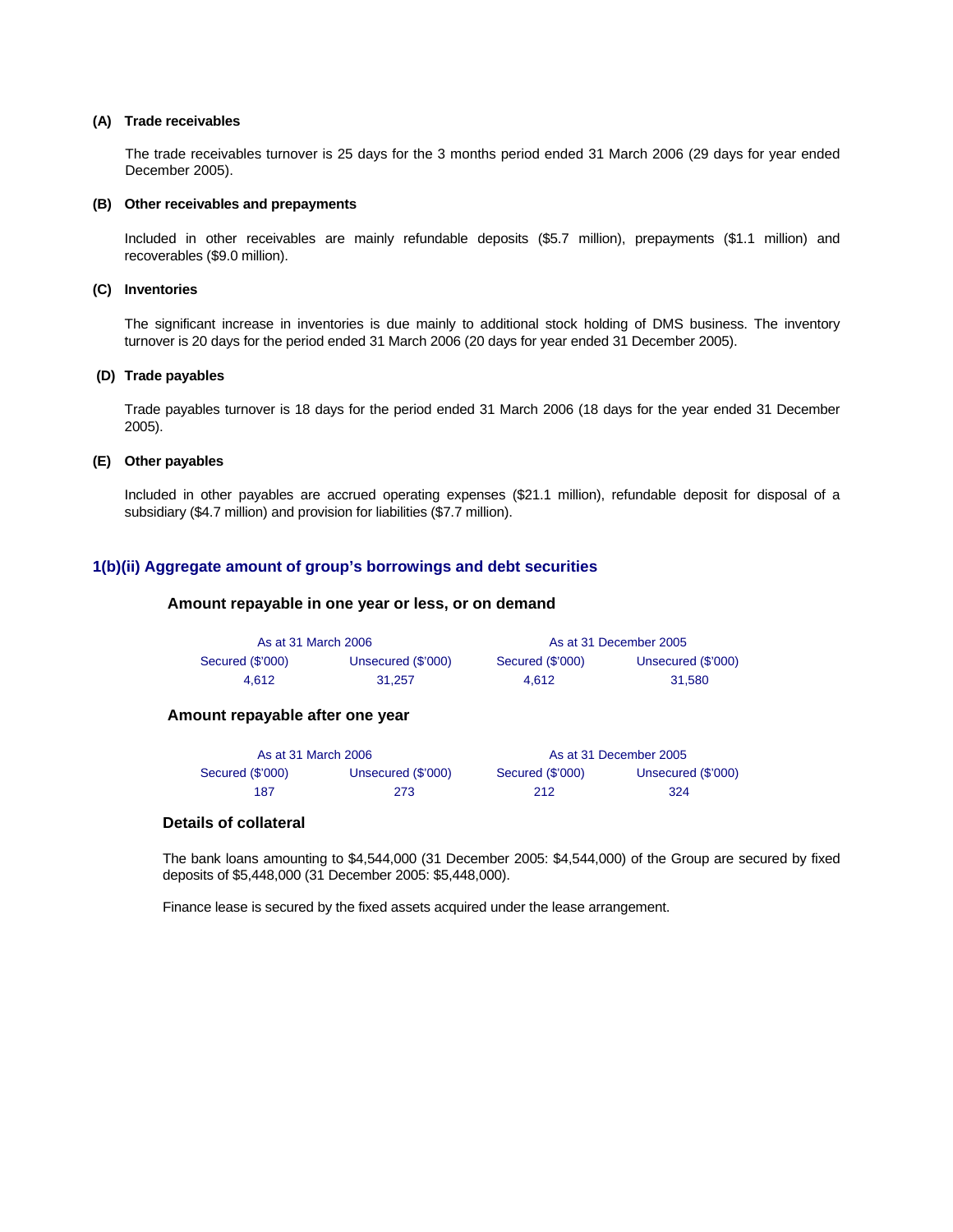#### **(A) Trade receivables**

 The trade receivables turnover is 25 days for the 3 months period ended 31 March 2006 (29 days for year ended December 2005).

#### **(B) Other receivables and prepayments**

Included in other receivables are mainly refundable deposits (\$5.7 million), prepayments (\$1.1 million) and recoverables (\$9.0 million).

#### **(C) Inventories**

 The significant increase in inventories is due mainly to additional stock holding of DMS business. The inventory turnover is 20 days for the period ended 31 March 2006 (20 days for year ended 31 December 2005).

#### **(D) Trade payables**

 Trade payables turnover is 18 days for the period ended 31 March 2006 (18 days for the year ended 31 December 2005).

#### **(E) Other payables**

 Included in other payables are accrued operating expenses (\$21.1 million), refundable deposit for disposal of a subsidiary (\$4.7 million) and provision for liabilities (\$7.7 million).

#### **1(b)(ii) Aggregate amount of group's borrowings and debt securities**

#### **Amount repayable in one year or less, or on demand**

| As at 31 March 2006 |                    |                  | As at 31 December 2005 |
|---------------------|--------------------|------------------|------------------------|
| Secured (\$'000)    | Unsecured (\$'000) | Secured (\$'000) | Unsecured (\$'000)     |
| 4.612               | 31.257             | 4.612            | 31.580                 |

#### **Amount repayable after one year**

| As at 31 March 2006 |                    |                  | As at 31 December 2005 |
|---------------------|--------------------|------------------|------------------------|
| Secured (\$'000)    | Unsecured (\$'000) | Secured (\$'000) | Unsecured (\$'000)     |
| 187                 | 273                | 212              | 324                    |

#### **Details of collateral**

The bank loans amounting to \$4,544,000 (31 December 2005: \$4,544,000) of the Group are secured by fixed deposits of \$5,448,000 (31 December 2005: \$5,448,000).

Finance lease is secured by the fixed assets acquired under the lease arrangement.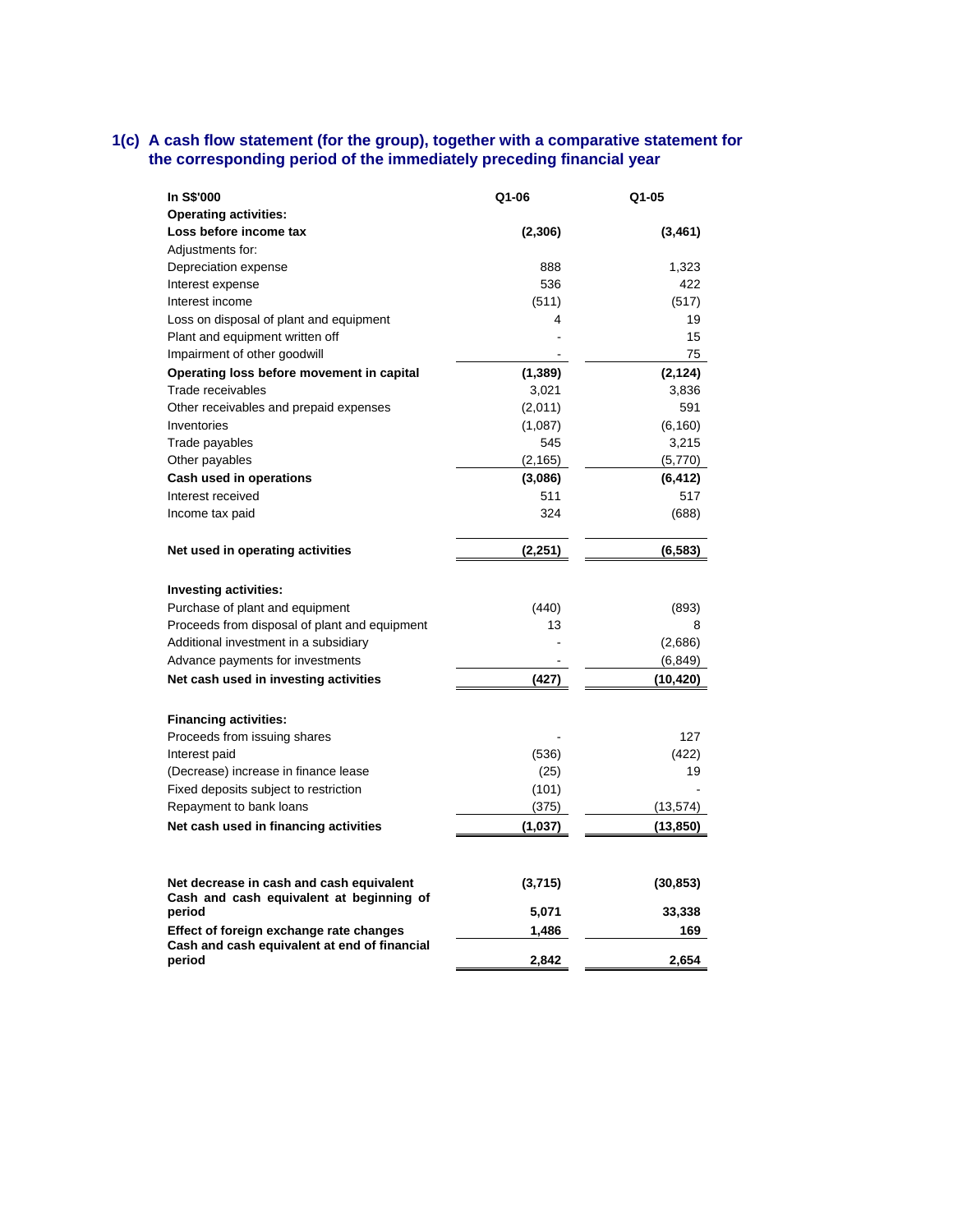#### **1(c) A cash flow statement (for the group), together with a comparative statement for the corresponding period of the immediately preceding financial year**

| In S\$'000                                             | Q1-06    | Q1-05     |
|--------------------------------------------------------|----------|-----------|
| <b>Operating activities:</b>                           |          |           |
| Loss before income tax                                 | (2,306)  | (3, 461)  |
| Adjustments for:                                       |          |           |
| Depreciation expense                                   | 888      | 1,323     |
| Interest expense                                       | 536      | 422       |
| Interest income                                        | (511)    | (517)     |
| Loss on disposal of plant and equipment                | 4        | 19        |
| Plant and equipment written off                        |          | 15        |
| Impairment of other goodwill                           |          | 75        |
| Operating loss before movement in capital              | (1, 389) | (2, 124)  |
| Trade receivables                                      | 3,021    | 3,836     |
| Other receivables and prepaid expenses                 | (2,011)  | 591       |
| Inventories                                            | (1,087)  | (6, 160)  |
| Trade payables                                         | 545      | 3,215     |
| Other payables                                         | (2, 165) | (5,770)   |
| Cash used in operations                                | (3,086)  | (6, 412)  |
| Interest received                                      | 511      | 517       |
| Income tax paid                                        | 324      | (688)     |
|                                                        |          |           |
| Net used in operating activities                       | (2, 251) | (6, 583)  |
|                                                        |          |           |
| <b>Investing activities:</b>                           |          |           |
| Purchase of plant and equipment                        | (440)    | (893)     |
| Proceeds from disposal of plant and equipment          | 13       | 8         |
| Additional investment in a subsidiary                  |          | (2,686)   |
| Advance payments for investments                       |          | (6, 849)  |
| Net cash used in investing activities                  | (427)    | (10, 420) |
|                                                        |          |           |
| <b>Financing activities:</b>                           |          |           |
| Proceeds from issuing shares                           |          | 127       |
| Interest paid                                          | (536)    | (422)     |
| (Decrease) increase in finance lease                   | (25)     | 19        |
| Fixed deposits subject to restriction                  | (101)    |           |
| Repayment to bank loans                                | (375)    | (13, 574) |
| Net cash used in financing activities                  | (1,037)  | (13, 850) |
|                                                        |          |           |
| Net decrease in cash and cash equivalent               | (3,715)  | (30, 853) |
| Cash and cash equivalent at beginning of               |          |           |
| period                                                 | 5,071    | 33,338    |
| Effect of foreign exchange rate changes                | 1,486    | 169       |
| Cash and cash equivalent at end of financial<br>period | 2.842    | 2,654     |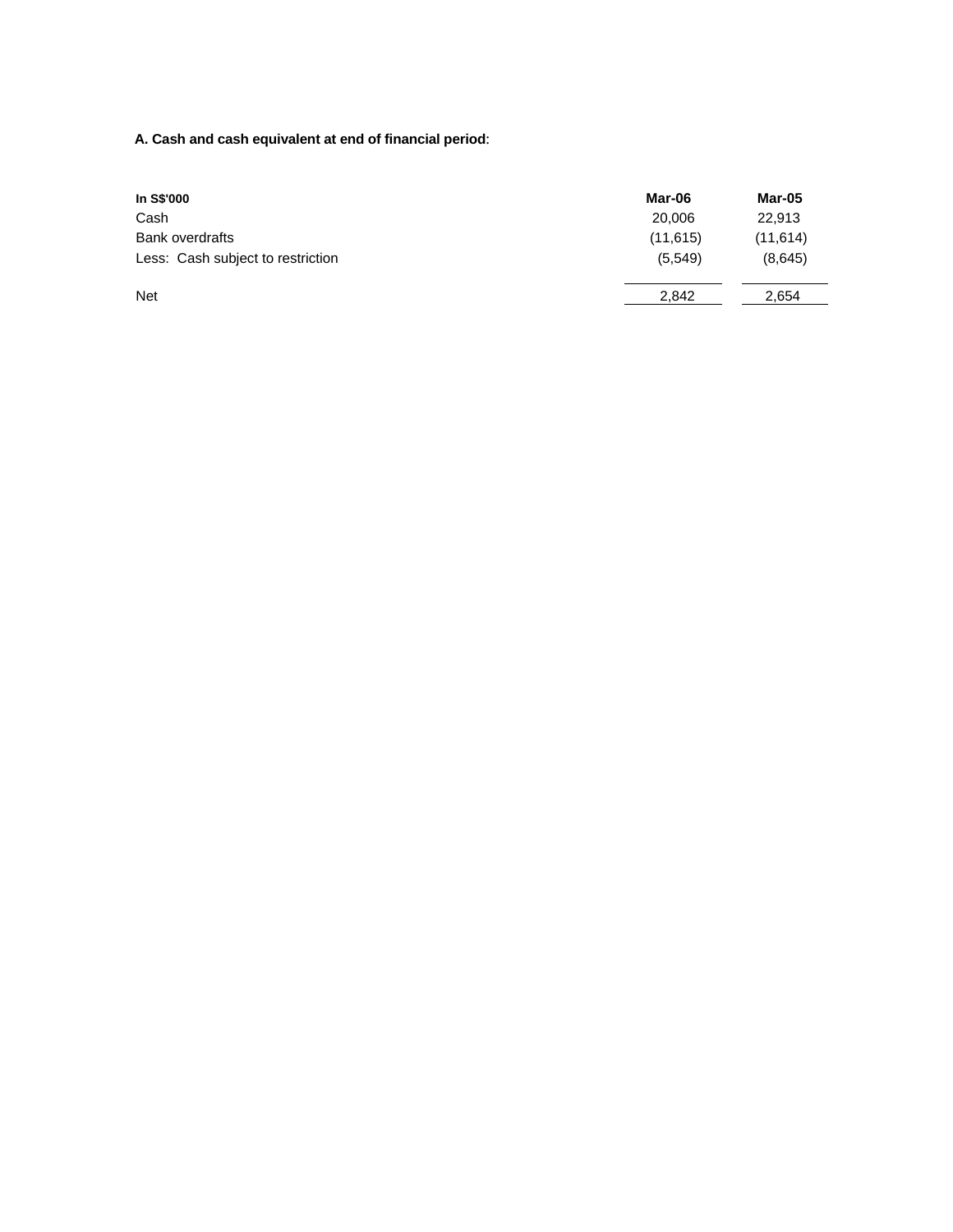**A. Cash and cash equivalent at end of financial period**:

| In S\$'000                        | Mar-06   | Mar-05    |
|-----------------------------------|----------|-----------|
| Cash                              | 20,006   | 22.913    |
| <b>Bank overdrafts</b>            | (11,615) | (11, 614) |
| Less: Cash subject to restriction | (5, 549) | (8,645)   |
| <b>Net</b>                        | 2.842    | 2.654     |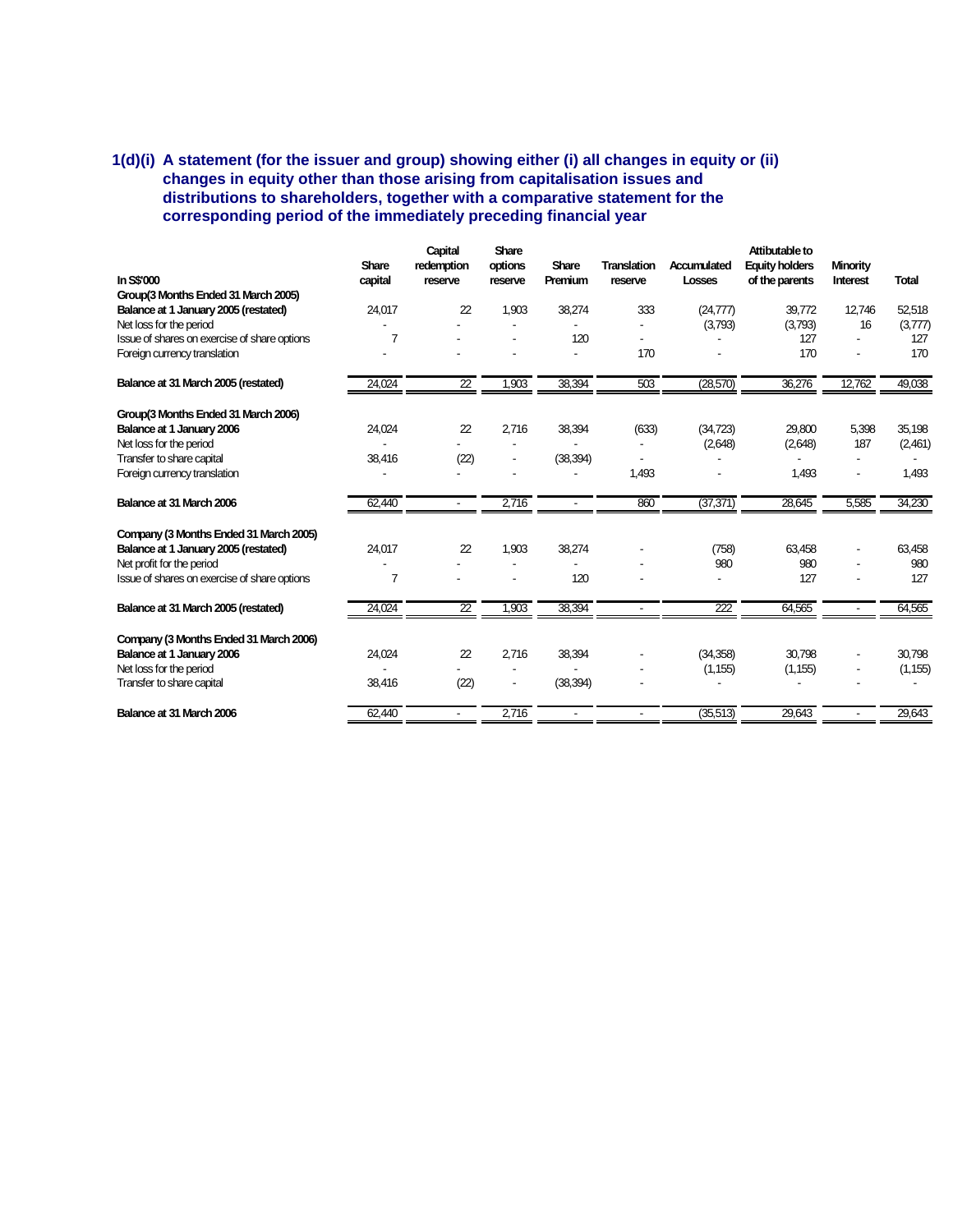# **1(d)(i) A statement (for the issuer and group) showing either (i) all changes in equity or (ii) changes in equity other than those arising from capitalisation issues and distributions to shareholders, together with a comparative statement for the corresponding period of the immediately preceding financial year**

|                                              |              | Capital                  | Share          |                |                |                  | Attibutable to        |                 |              |
|----------------------------------------------|--------------|--------------------------|----------------|----------------|----------------|------------------|-----------------------|-----------------|--------------|
|                                              | <b>Share</b> | redemption               | options        | <b>Share</b>   | Translation    | Accumulated      | <b>Equity holders</b> | <b>Minority</b> |              |
| In S\$'000                                   | capital      | reserve                  | reserve        | Premium        | reserve        | Losses           | of the parents        | Interest        | <b>Total</b> |
| Group(3 Months Ended 31 March 2005)          |              |                          |                |                |                |                  |                       |                 |              |
| Balance at 1 January 2005 (restated)         | 24,017       | 22                       | 1,903          | 38,274         | 333            | (24, 777)        | 39,772                | 12,746          | 52,518       |
| Net loss for the period                      |              |                          |                |                |                | (3,793)          | (3,793)               | 16              | (3,777)      |
| Issue of shares on exercise of share options | 7            |                          |                | 120            |                |                  | 127                   |                 | 127          |
| Foreign currency translation                 |              |                          |                |                | 170            |                  | 170                   |                 | 170          |
| Balance at 31 March 2005 (restated)          | 24,024       | $\overline{22}$          | 1,903          | 38,394         | 503            | (28,570)         | 36,276                | 12,762          | 49,038       |
| Group(3 Months Ended 31 March 2006)          |              |                          |                |                |                |                  |                       |                 |              |
| Balance at 1 January 2006                    | 24,024       | 22                       | 2,716          | 38,394         | (633)          | (34, 723)        | 29,800                | 5,398           | 35,198       |
| Net loss for the period                      |              |                          |                |                |                | (2,648)          | (2,648)               | 187             | (2,461)      |
| Transfer to share capital                    | 38,416       | (22)                     | $\overline{a}$ | (38, 394)      |                |                  |                       |                 |              |
| Foreign currency translation                 |              |                          |                |                | 1,493          |                  | 1,493                 | ۰               | 1,493        |
| Balance at 31 March 2006                     | 62,440       | $\overline{\phantom{a}}$ | 2,716          | $\blacksquare$ | 860            | (37, 371)        | 28,645                | 5,585           | 34,230       |
| Company (3 Months Ended 31 March 2005)       |              |                          |                |                |                |                  |                       |                 |              |
| Balance at 1 January 2005 (restated)         | 24,017       | 22                       | 1,903          | 38,274         |                | (758)            | 63,458                |                 | 63,458       |
| Net profit for the period                    |              |                          |                |                |                | 980              | 980                   |                 | 980          |
| Issue of shares on exercise of share options | 7            |                          |                | 120            |                |                  | 127                   |                 | 127          |
| Balance at 31 March 2005 (restated)          | 24,024       | $\overline{2}$           | 1,903          | 38,394         | $\blacksquare$ | $\overline{222}$ | 64,565                |                 | 64,565       |
|                                              |              |                          |                |                |                |                  |                       |                 |              |
| Company (3 Months Ended 31 March 2006)       |              |                          |                |                |                |                  |                       |                 |              |
| Balance at 1 January 2006                    | 24,024       | 22                       | 2.716          | 38,394         |                | (34,358)         | 30.798                |                 | 30,798       |
| Net loss for the period                      |              |                          |                |                |                | (1, 155)         | (1, 155)              |                 | (1, 155)     |
| <b>Transfer to share capital</b>             | 38,416       | (22)                     | ٠              | (38, 394)      |                |                  |                       |                 |              |
| Balance at 31 March 2006                     | 62.440       | $\blacksquare$           | 2,716          |                |                | (35, 513)        | 29,643                |                 | 29,643       |
|                                              |              |                          |                |                |                |                  |                       |                 |              |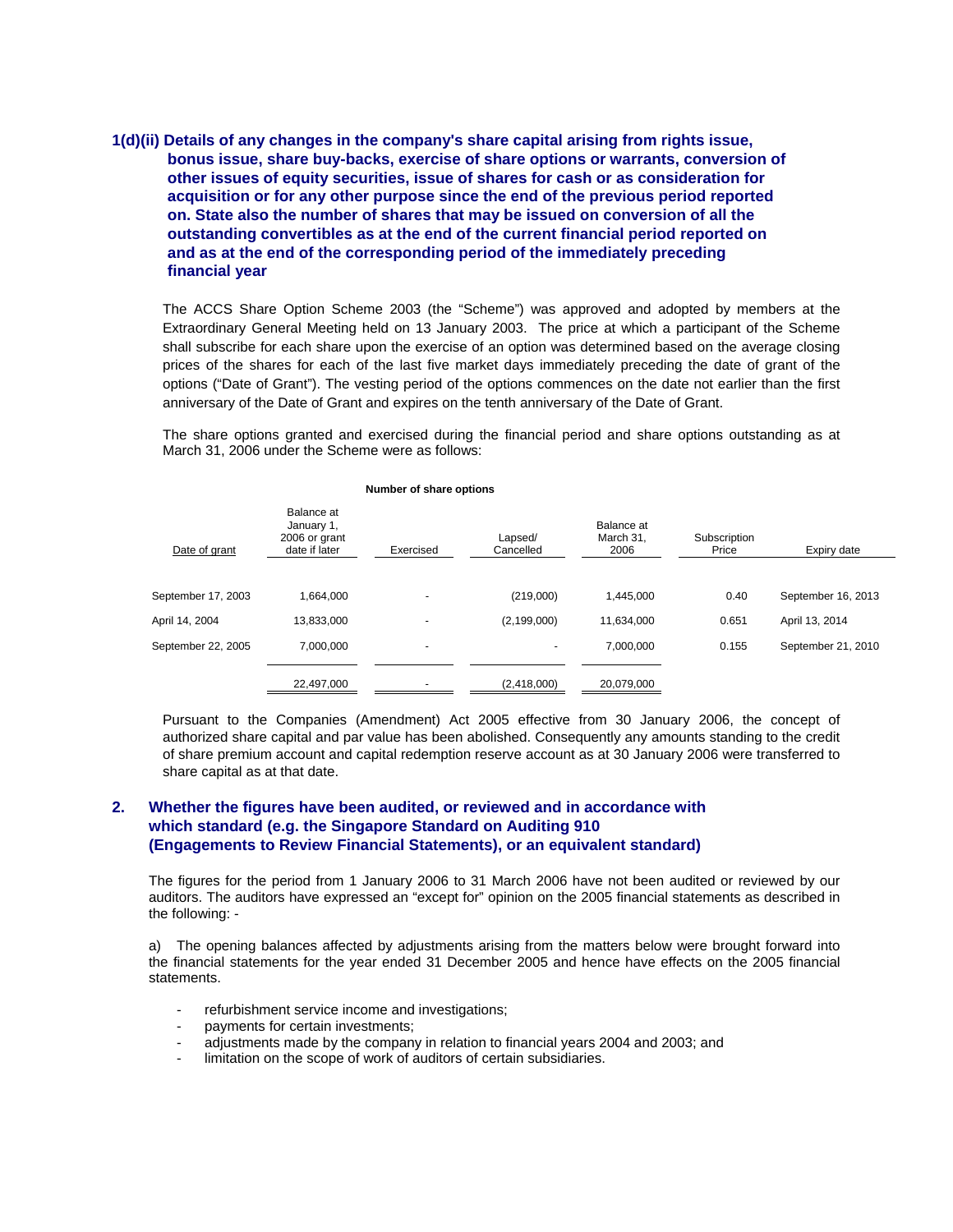# **1(d)(ii) Details of any changes in the company's share capital arising from rights issue, bonus issue, share buy-backs, exercise of share options or warrants, conversion of other issues of equity securities, issue of shares for cash or as consideration for acquisition or for any other purpose since the end of the previous period reported on. State also the number of shares that may be issued on conversion of all the outstanding convertibles as at the end of the current financial period reported on and as at the end of the corresponding period of the immediately preceding financial year**

The ACCS Share Option Scheme 2003 (the "Scheme") was approved and adopted by members at the Extraordinary General Meeting held on 13 January 2003. The price at which a participant of the Scheme shall subscribe for each share upon the exercise of an option was determined based on the average closing prices of the shares for each of the last five market days immediately preceding the date of grant of the options ("Date of Grant"). The vesting period of the options commences on the date not earlier than the first anniversary of the Date of Grant and expires on the tenth anniversary of the Date of Grant.

The share options granted and exercised during the financial period and share options outstanding as at March 31, 2006 under the Scheme were as follows:

| Date of grant      | Balance at<br>January 1,<br>2006 or grant<br>date if later | Exercised                | Lapsed/<br>Cancelled     | Balance at<br>March 31.<br>2006 | Subscription<br>Price | Expiry date        |
|--------------------|------------------------------------------------------------|--------------------------|--------------------------|---------------------------------|-----------------------|--------------------|
| September 17, 2003 | 1.664.000                                                  | $\overline{\phantom{a}}$ | (219,000)                | 1.445.000                       | 0.40                  | September 16, 2013 |
| April 14, 2004     | 13,833,000                                                 | $\overline{a}$           | (2, 199, 000)            | 11.634.000                      | 0.651                 | April 13, 2014     |
| September 22, 2005 | 7.000.000                                                  | $\overline{\phantom{a}}$ | $\overline{\phantom{a}}$ | 7,000,000                       | 0.155                 | September 21, 2010 |
|                    | 22,497,000                                                 |                          | (2,418,000)              | 20,079,000                      |                       |                    |

#### **Number of share options**

Pursuant to the Companies (Amendment) Act 2005 effective from 30 January 2006, the concept of authorized share capital and par value has been abolished. Consequently any amounts standing to the credit of share premium account and capital redemption reserve account as at 30 January 2006 were transferred to share capital as at that date.

## **2. Whether the figures have been audited, or reviewed and in accordance with which standard (e.g. the Singapore Standard on Auditing 910 (Engagements to Review Financial Statements), or an equivalent standard)**

The figures for the period from 1 January 2006 to 31 March 2006 have not been audited or reviewed by our auditors. The auditors have expressed an "except for" opinion on the 2005 financial statements as described in the following: -

a) The opening balances affected by adjustments arising from the matters below were brought forward into the financial statements for the year ended 31 December 2005 and hence have effects on the 2005 financial statements.

- refurbishment service income and investigations;
- payments for certain investments;
- adjustments made by the company in relation to financial years 2004 and 2003; and
- limitation on the scope of work of auditors of certain subsidiaries.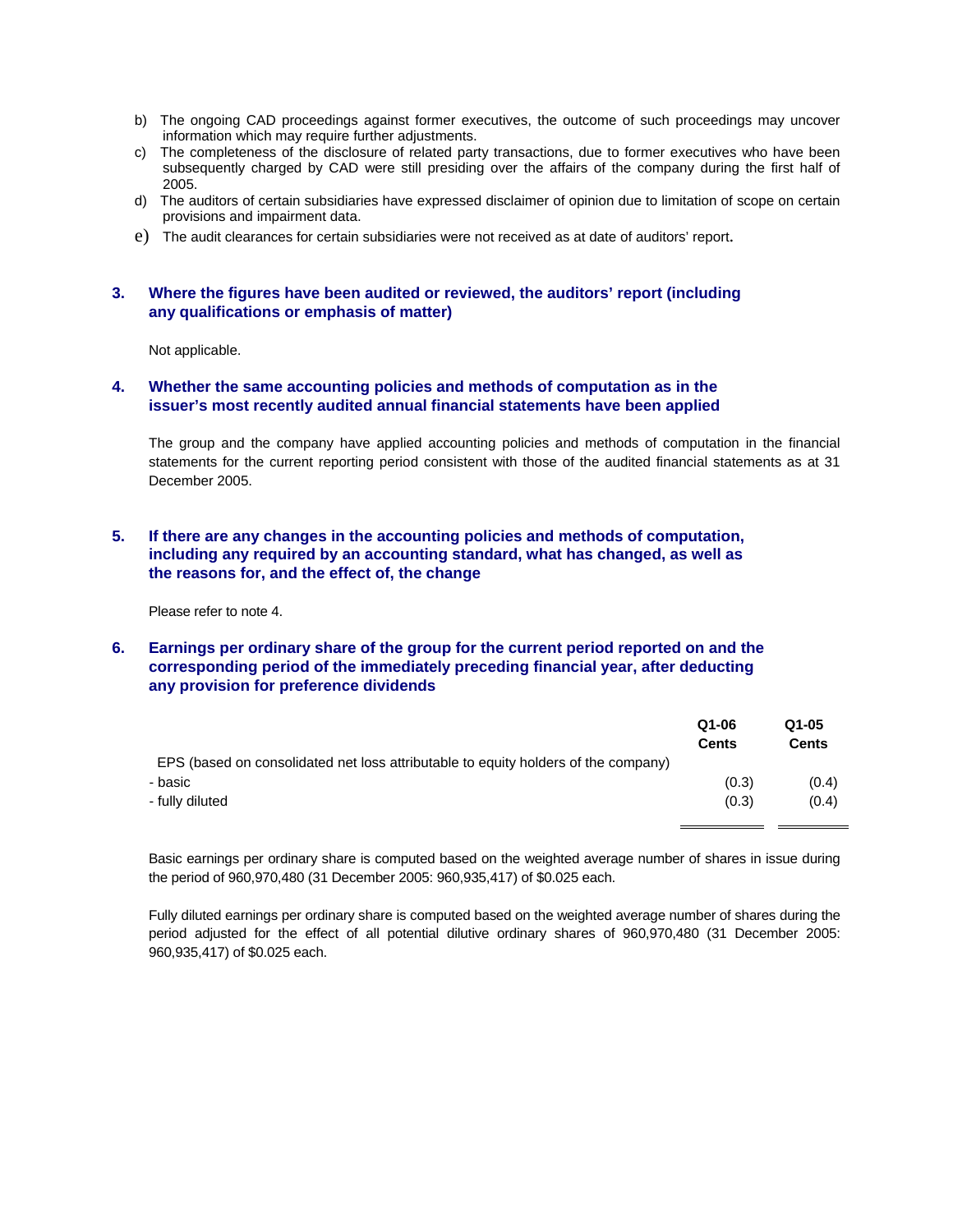- b) The ongoing CAD proceedings against former executives, the outcome of such proceedings may uncover information which may require further adjustments.
- c) The completeness of the disclosure of related party transactions, due to former executives who have been subsequently charged by CAD were still presiding over the affairs of the company during the first half of 2005.
- d) The auditors of certain subsidiaries have expressed disclaimer of opinion due to limitation of scope on certain provisions and impairment data.
- e) The audit clearances for certain subsidiaries were not received as at date of auditors' report.

#### **3. Where the figures have been audited or reviewed, the auditors' report (including any qualifications or emphasis of matter)**

Not applicable.

#### **4. Whether the same accounting policies and methods of computation as in the issuer's most recently audited annual financial statements have been applied**

The group and the company have applied accounting policies and methods of computation in the financial statements for the current reporting period consistent with those of the audited financial statements as at 31 December 2005.

# **5. If there are any changes in the accounting policies and methods of computation, including any required by an accounting standard, what has changed, as well as the reasons for, and the effect of, the change**

Please refer to note 4.

# **6. Earnings per ordinary share of the group for the current period reported on and the corresponding period of the immediately preceding financial year, after deducting any provision for preference dividends**

|                                                                                    | Q1-06<br>Cents | Q1-05<br><b>Cents</b> |
|------------------------------------------------------------------------------------|----------------|-----------------------|
| EPS (based on consolidated net loss attributable to equity holders of the company) |                |                       |
| - basic                                                                            | (0.3)          | (0.4)                 |
| - fully diluted                                                                    | (0.3)          | (0.4)                 |
|                                                                                    |                |                       |

Basic earnings per ordinary share is computed based on the weighted average number of shares in issue during the period of 960,970,480 (31 December 2005: 960,935,417) of \$0.025 each.

Fully diluted earnings per ordinary share is computed based on the weighted average number of shares during the period adjusted for the effect of all potential dilutive ordinary shares of 960,970,480 (31 December 2005: 960,935,417) of \$0.025 each.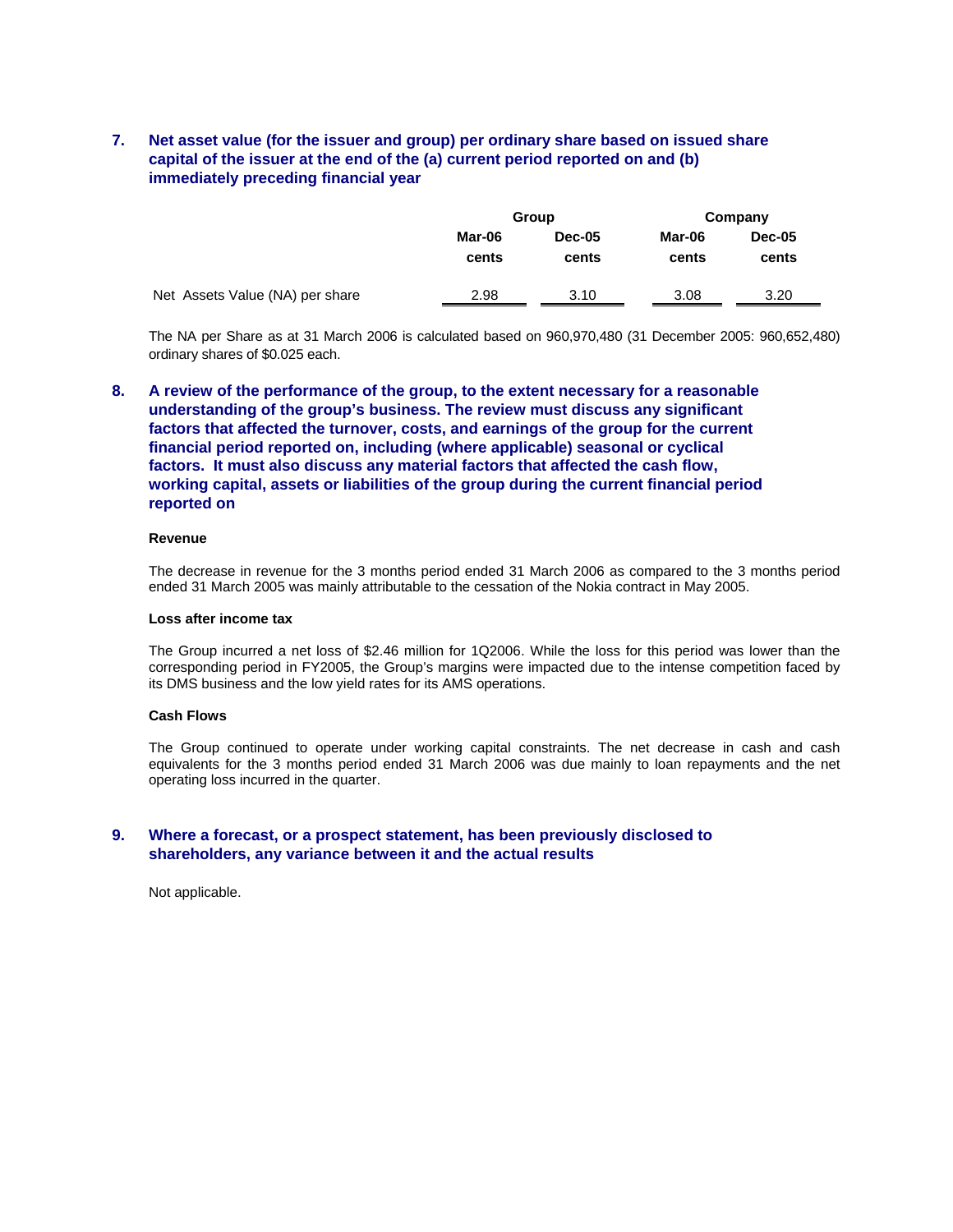# **7. Net asset value (for the issuer and group) per ordinary share based on issued share capital of the issuer at the end of the (a) current period reported on and (b) immediately preceding financial year**

|                                 | Group           |                 | Company         |                        |
|---------------------------------|-----------------|-----------------|-----------------|------------------------|
|                                 | Mar-06<br>cents | Dec-05<br>cents | Mar-06<br>cents | <b>Dec-05</b><br>cents |
| Net Assets Value (NA) per share | 2.98            | 3.10            | 3.08            | 3.20                   |

The NA per Share as at 31 March 2006 is calculated based on 960,970,480 (31 December 2005: 960,652,480) ordinary shares of \$0.025 each.

# **8. A review of the performance of the group, to the extent necessary for a reasonable understanding of the group's business. The review must discuss any significant factors that affected the turnover, costs, and earnings of the group for the current financial period reported on, including (where applicable) seasonal or cyclical factors. It must also discuss any material factors that affected the cash flow, working capital, assets or liabilities of the group during the current financial period reported on**

#### **Revenue**

The decrease in revenue for the 3 months period ended 31 March 2006 as compared to the 3 months period ended 31 March 2005 was mainly attributable to the cessation of the Nokia contract in May 2005.

#### **Loss after income tax**

The Group incurred a net loss of \$2.46 million for 1Q2006. While the loss for this period was lower than the corresponding period in FY2005, the Group's margins were impacted due to the intense competition faced by its DMS business and the low yield rates for its AMS operations.

#### **Cash Flows**

The Group continued to operate under working capital constraints. The net decrease in cash and cash equivalents for the 3 months period ended 31 March 2006 was due mainly to loan repayments and the net operating loss incurred in the quarter.

#### **9. Where a forecast, or a prospect statement, has been previously disclosed to shareholders, any variance between it and the actual results**

Not applicable.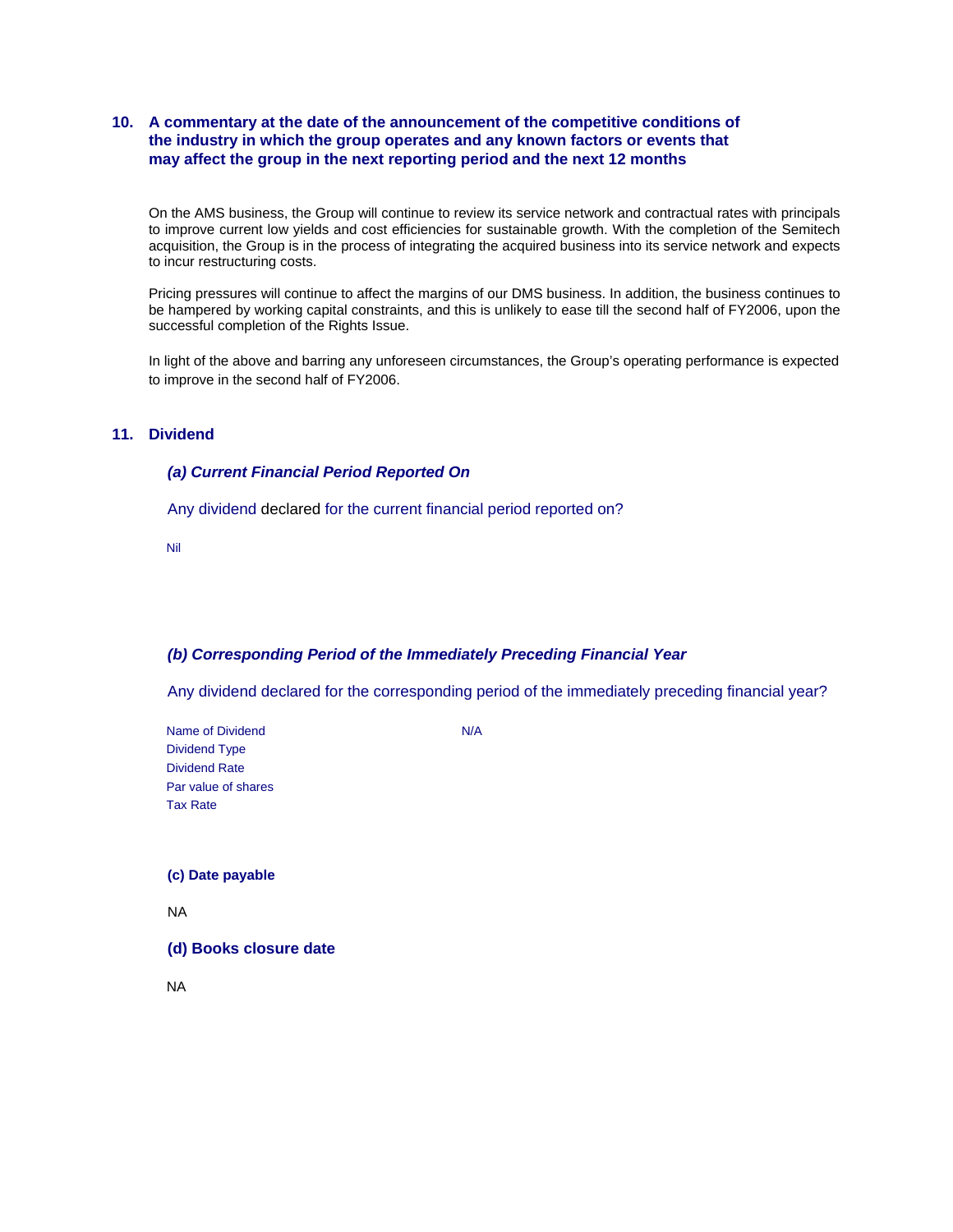# **10. A commentary at the date of the announcement of the competitive conditions of the industry in which the group operates and any known factors or events that may affect the group in the next reporting period and the next 12 months**

On the AMS business, the Group will continue to review its service network and contractual rates with principals to improve current low yields and cost efficiencies for sustainable growth. With the completion of the Semitech acquisition, the Group is in the process of integrating the acquired business into its service network and expects to incur restructuring costs.

Pricing pressures will continue to affect the margins of our DMS business. In addition, the business continues to be hampered by working capital constraints, and this is unlikely to ease till the second half of FY2006, upon the successful completion of the Rights Issue.

In light of the above and barring any unforeseen circumstances, the Group's operating performance is expected to improve in the second half of FY2006.

# **11. Dividend**

#### *(a) Current Financial Period Reported On*

Any dividend declared for the current financial period reported on?

Nil

#### *(b) Corresponding Period of the Immediately Preceding Financial Year*

Any dividend declared for the corresponding period of the immediately preceding financial year?

Name of Dividend N/A Dividend Type Dividend Rate Par value of shares Tax Rate

**(c) Date payable** 

NA

**(d) Books closure date** 

NA